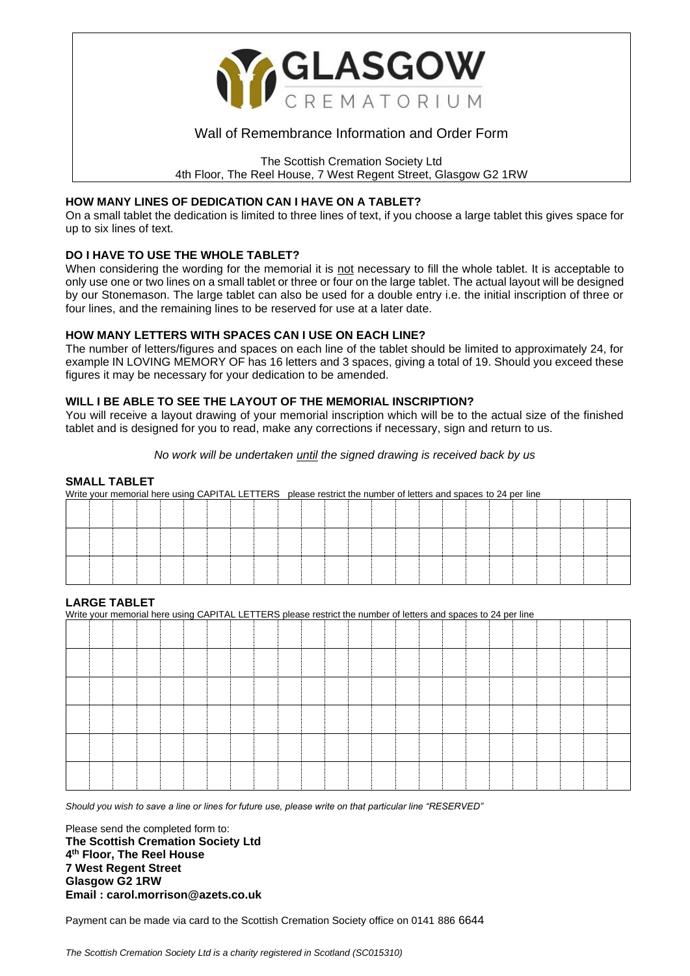

# Wall of Remembrance Information and Order Form

The Scottish Cremation Society Ltd

4th Floor, The Reel House, 7 West Regent Street, Glasgow G2 1RW

#### **HOW MANY LINES OF DEDICATION CAN I HAVE ON A TABLET?**

On a small tablet the dedication is limited to three lines of text, if you choose a large tablet this gives space for up to six lines of text.

# **DO I HAVE TO USE THE WHOLE TABLET?**

When considering the wording for the memorial it is not necessary to fill the whole tablet. It is acceptable to only use one or two lines on a small tablet or three or four on the large tablet. The actual layout will be designed by our Stonemason. The large tablet can also be used for a double entry i.e. the initial inscription of three or four lines, and the remaining lines to be reserved for use at a later date.

# **HOW MANY LETTERS WITH SPACES CAN I USE ON EACH LINE?**

The number of letters/figures and spaces on each line of the tablet should be limited to approximately 24, for example IN LOVING MEMORY OF has 16 letters and 3 spaces, giving a total of 19. Should you exceed these figures it may be necessary for your dedication to be amended.

# **WILL I BE ABLE TO SEE THE LAYOUT OF THE MEMORIAL INSCRIPTION?**

You will receive a layout drawing of your memorial inscription which will be to the actual size of the finished tablet and is designed for you to read, make any corrections if necessary, sign and return to us.

*No work will be undertaken until the signed drawing is received back by us*

#### **SMALL TABLET**

Write your memorial here using CAPITAL LETTERS please restrict the number of letters and spaces to 24 per line

# **LARGE TABLET**

Write your memorial here using CAPITAL LETTERS please restrict the number of letters and spaces to 24 per line

*Should you wish to save a line or lines for future use, please write on that particular line "RESERVED"*

Please send the completed form to: **The Scottish Cremation Society Ltd 4 th Floor, The Reel House 7 West Regent Street Glasgow G2 1RW Email : carol.morrison@azets.co.uk**

Payment can be made via card to the Scottish Cremation Society office on 0141 886 6644